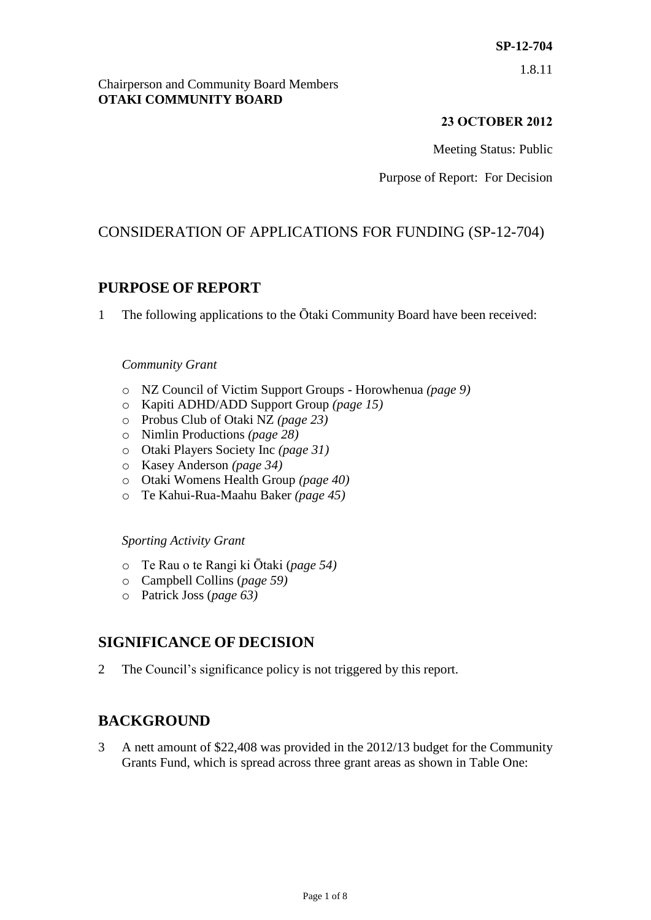1.8.11

## Chairperson and Community Board Members **OTAKI COMMUNITY BOARD**

# **23 OCTOBER 2012**

Meeting Status: Public

Purpose of Report: For Decision

# CONSIDERATION OF APPLICATIONS FOR FUNDING (SP-12-704)

# **PURPOSE OF REPORT**

1 The following applications to the Ōtaki Community Board have been received:

## *Community Grant*

- o NZ Council of Victim Support Groups Horowhenua *(page 9)*
- o Kapiti ADHD/ADD Support Group *(page 15)*
- o Probus Club of Otaki NZ *(page 23)*
- o Nimlin Productions *(page 28)*
- o Otaki Players Society Inc *(page 31)*
- o Kasey Anderson *(page 34)*
- o Otaki Womens Health Group *(page 40)*
- o Te Kahui-Rua-Maahu Baker *(page 45)*

## *Sporting Activity Grant*

- o Te Rau o te Rangi ki Ōtaki (*page 54)*
- o Campbell Collins (*page 59)*
- o Patrick Joss (*page 63)*

# **SIGNIFICANCE OF DECISION**

2 The Council's significance policy is not triggered by this report.

# **BACKGROUND**

3 A nett amount of \$22,408 was provided in the 2012/13 budget for the Community Grants Fund, which is spread across three grant areas as shown in Table One: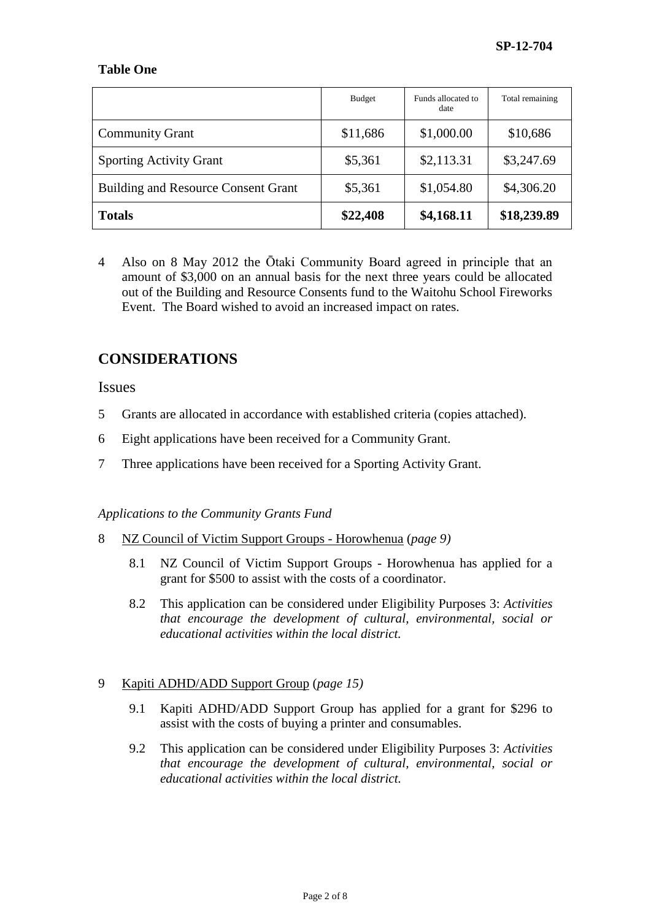## **Table One**

|                                            | <b>Budget</b> | Funds allocated to<br>date | Total remaining |
|--------------------------------------------|---------------|----------------------------|-----------------|
| <b>Community Grant</b>                     | \$11,686      | \$1,000.00                 | \$10,686        |
| <b>Sporting Activity Grant</b>             | \$5,361       | \$2,113.31                 | \$3,247.69      |
| <b>Building and Resource Consent Grant</b> | \$5,361       | \$1,054.80                 | \$4,306.20      |
| <b>Totals</b>                              | \$22,408      | \$4,168.11                 | \$18,239.89     |

4 Also on 8 May 2012 the Ōtaki Community Board agreed in principle that an amount of \$3,000 on an annual basis for the next three years could be allocated out of the Building and Resource Consents fund to the Waitohu School Fireworks Event. The Board wished to avoid an increased impact on rates.

# **CONSIDERATIONS**

**Issues** 

- 5 Grants are allocated in accordance with established criteria (copies attached).
- 6 Eight applications have been received for a Community Grant.
- 7 Three applications have been received for a Sporting Activity Grant.

*Applications to the Community Grants Fund*

- 8 NZ Council of Victim Support Groups Horowhenua (*page 9)*
	- 8.1 NZ Council of Victim Support Groups Horowhenua has applied for a grant for \$500 to assist with the costs of a coordinator.
	- 8.2 This application can be considered under Eligibility Purposes 3: *Activities that encourage the development of cultural, environmental, social or educational activities within the local district.*

## 9 Kapiti ADHD/ADD Support Group (*page 15)*

- 9.1 Kapiti ADHD/ADD Support Group has applied for a grant for \$296 to assist with the costs of buying a printer and consumables.
- 9.2 This application can be considered under Eligibility Purposes 3: *Activities that encourage the development of cultural, environmental, social or educational activities within the local district.*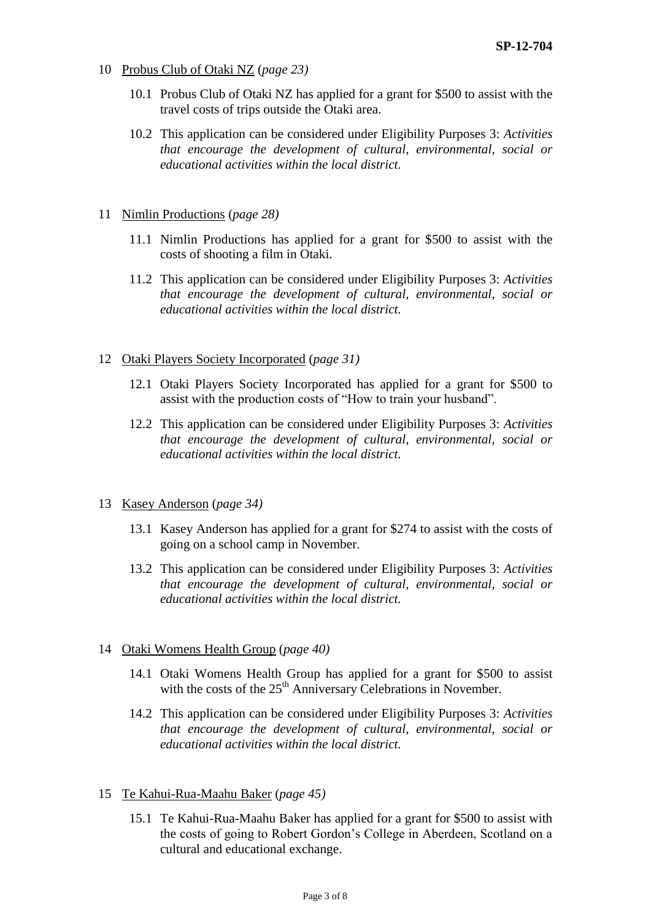- 10 Probus Club of Otaki NZ (*page 23)*
	- 10.1 Probus Club of Otaki NZ has applied for a grant for \$500 to assist with the travel costs of trips outside the Otaki area.
	- 10.2 This application can be considered under Eligibility Purposes 3: *Activities that encourage the development of cultural, environmental, social or educational activities within the local district.*
- 11 Nimlin Productions (*page 28)*
	- 11.1 Nimlin Productions has applied for a grant for \$500 to assist with the costs of shooting a film in Otaki.
	- 11.2 This application can be considered under Eligibility Purposes 3: *Activities that encourage the development of cultural, environmental, social or educational activities within the local district.*

#### 12 Otaki Players Society Incorporated (*page 31)*

- 12.1 Otaki Players Society Incorporated has applied for a grant for \$500 to assist with the production costs of "How to train your husband".
- 12.2 This application can be considered under Eligibility Purposes 3: *Activities that encourage the development of cultural, environmental, social or educational activities within the local district.*
- 13 Kasey Anderson (*page 34)*
	- 13.1 Kasey Anderson has applied for a grant for \$274 to assist with the costs of going on a school camp in November.
	- 13.2 This application can be considered under Eligibility Purposes 3: *Activities that encourage the development of cultural, environmental, social or educational activities within the local district.*

#### 14 Otaki Womens Health Group (*page 40)*

- 14.1 Otaki Womens Health Group has applied for a grant for \$500 to assist with the costs of the  $25<sup>th</sup>$  Anniversary Celebrations in November.
- 14.2 This application can be considered under Eligibility Purposes 3: *Activities that encourage the development of cultural, environmental, social or educational activities within the local district.*
- 15 Te Kahui-Rua-Maahu Baker (*page 45)*
	- 15.1 Te Kahui-Rua-Maahu Baker has applied for a grant for \$500 to assist with the costs of going to Robert Gordon's College in Aberdeen, Scotland on a cultural and educational exchange.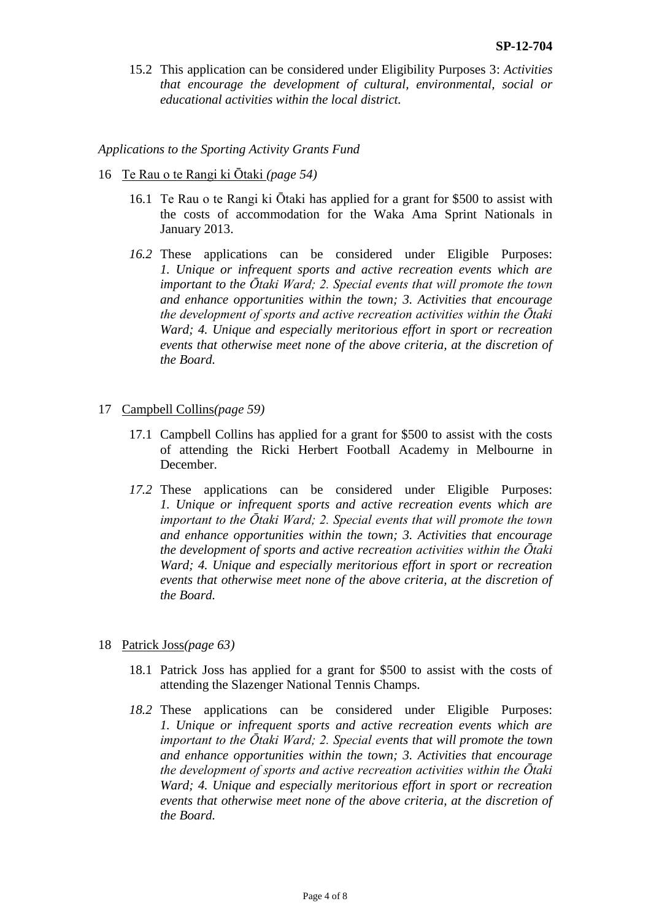15.2 This application can be considered under Eligibility Purposes 3: *Activities that encourage the development of cultural, environmental, social or educational activities within the local district.*

*Applications to the Sporting Activity Grants Fund*

- 16 Te Rau o te Rangi ki Ōtaki *(page 54)*
	- 16.1 Te Rau o te Rangi ki Ōtaki has applied for a grant for \$500 to assist with the costs of accommodation for the Waka Ama Sprint Nationals in January 2013.
	- *16.2* These applications can be considered under Eligible Purposes: *1. Unique or infrequent sports and active recreation events which are important to the Ōtaki Ward; 2. Special events that will promote the town and enhance opportunities within the town; 3. Activities that encourage the development of sports and active recreation activities within the Ōtaki Ward; 4. Unique and especially meritorious effort in sport or recreation events that otherwise meet none of the above criteria, at the discretion of the Board.*
- 17 Campbell Collins*(page 59)*
	- 17.1 Campbell Collins has applied for a grant for \$500 to assist with the costs of attending the Ricki Herbert Football Academy in Melbourne in December.
	- *17.2* These applications can be considered under Eligible Purposes: *1. Unique or infrequent sports and active recreation events which are important to the Ōtaki Ward; 2. Special events that will promote the town and enhance opportunities within the town; 3. Activities that encourage the development of sports and active recreation activities within the Ōtaki Ward; 4. Unique and especially meritorious effort in sport or recreation events that otherwise meet none of the above criteria, at the discretion of the Board.*
- 18 Patrick Joss*(page 63)*
	- 18.1 Patrick Joss has applied for a grant for \$500 to assist with the costs of attending the Slazenger National Tennis Champs.
	- *18.2* These applications can be considered under Eligible Purposes: *1. Unique or infrequent sports and active recreation events which are important to the Ōtaki Ward; 2. Special events that will promote the town and enhance opportunities within the town; 3. Activities that encourage the development of sports and active recreation activities within the Ōtaki Ward; 4. Unique and especially meritorious effort in sport or recreation events that otherwise meet none of the above criteria, at the discretion of the Board.*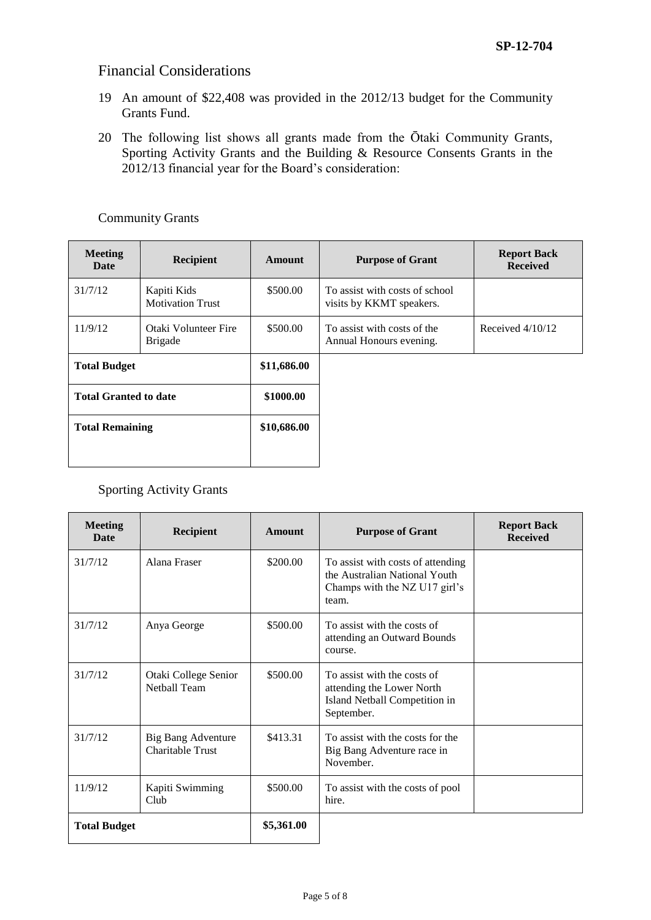# Financial Considerations

- 19 An amount of \$22,408 was provided in the 2012/13 budget for the Community Grants Fund.
- 20 The following list shows all grants made from the Ōtaki Community Grants, Sporting Activity Grants and the Building & Resource Consents Grants in the 2012/13 financial year for the Board's consideration:

### Community Grants

| <b>Meeting</b><br>Date       | Recipient                              | Amount      | <b>Purpose of Grant</b>                                    | <b>Report Back</b><br><b>Received</b> |
|------------------------------|----------------------------------------|-------------|------------------------------------------------------------|---------------------------------------|
| 31/7/12                      | Kapiti Kids<br><b>Motivation Trust</b> | \$500.00    | To assist with costs of school<br>visits by KKMT speakers. |                                       |
| 11/9/12                      | Otaki Volunteer Fire<br><b>Brigade</b> | \$500.00    | To assist with costs of the<br>Annual Honours evening.     | Received $4/10/12$                    |
| <b>Total Budget</b>          |                                        | \$11,686.00 |                                                            |                                       |
| <b>Total Granted to date</b> |                                        | \$1000.00   |                                                            |                                       |
| <b>Total Remaining</b>       |                                        | \$10,686.00 |                                                            |                                       |
|                              |                                        |             |                                                            |                                       |

## Sporting Activity Grants

| <b>Meeting</b><br>Date | <b>Recipient</b>                              | <b>Amount</b> | <b>Purpose of Grant</b>                                                                                      | <b>Report Back</b><br><b>Received</b> |
|------------------------|-----------------------------------------------|---------------|--------------------------------------------------------------------------------------------------------------|---------------------------------------|
| 31/7/12                | Alana Fraser                                  | \$200.00      | To assist with costs of attending<br>the Australian National Youth<br>Champs with the NZ U17 girl's<br>team. |                                       |
| 31/7/12                | Anya George                                   | \$500.00      | To assist with the costs of<br>attending an Outward Bounds<br>course.                                        |                                       |
| 31/7/12                | Otaki College Senior<br>Nethall Team          | \$500.00      | To assist with the costs of<br>attending the Lower North<br>Island Netball Competition in<br>September.      |                                       |
| 31/7/12                | <b>Big Bang Adventure</b><br>Charitable Trust | \$413.31      | To assist with the costs for the<br>Big Bang Adventure race in<br>November.                                  |                                       |
| 11/9/12                | Kapiti Swimming<br>Club                       | \$500.00      | To assist with the costs of pool<br>hire.                                                                    |                                       |
| <b>Total Budget</b>    |                                               | \$5,361.00    |                                                                                                              |                                       |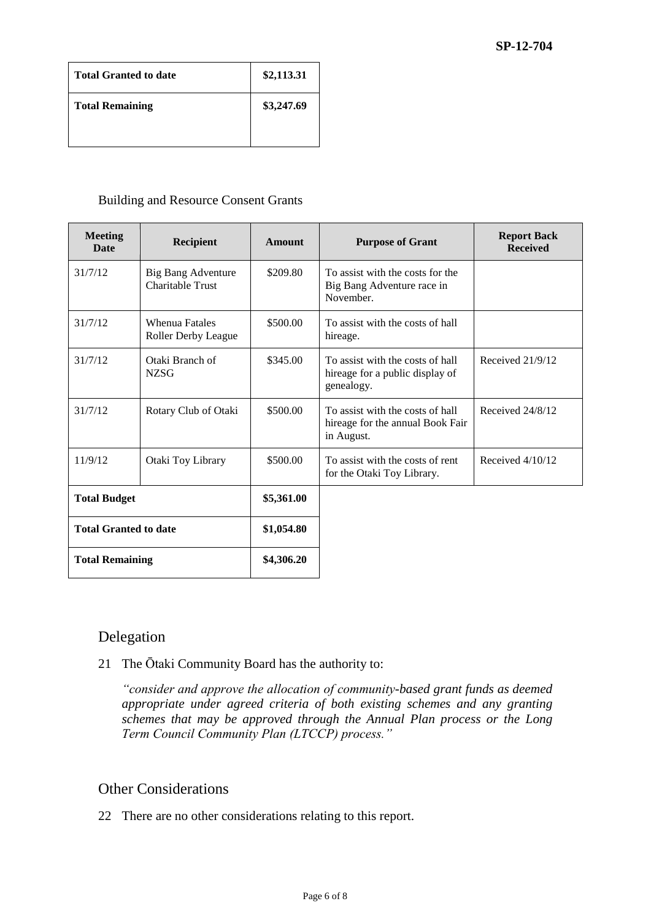| <b>Total Granted to date</b> | \$2,113.31 |
|------------------------------|------------|
| <b>Total Remaining</b>       | \$3,247.69 |
|                              |            |

#### Building and Resource Consent Grants

| <b>Meeting</b><br><b>Date</b> | <b>Recipient</b>                                     | Amount     | <b>Purpose of Grant</b>                                                            | <b>Report Back</b><br><b>Received</b> |
|-------------------------------|------------------------------------------------------|------------|------------------------------------------------------------------------------------|---------------------------------------|
| 31/7/12                       | <b>Big Bang Adventure</b><br><b>Charitable Trust</b> | \$209.80   | To assist with the costs for the<br>Big Bang Adventure race in<br>November.        |                                       |
| 31/7/12                       | <b>Whenua Fatales</b><br><b>Roller Derby League</b>  | \$500.00   | To assist with the costs of hall<br>hireage.                                       |                                       |
| 31/7/12                       | Otaki Branch of<br><b>NZSG</b>                       | \$345.00   | To assist with the costs of hall<br>hireage for a public display of<br>genealogy.  | Received $21/9/12$                    |
| 31/7/12                       | Rotary Club of Otaki                                 | \$500.00   | To assist with the costs of hall<br>hireage for the annual Book Fair<br>in August. | Received 24/8/12                      |
| 11/9/12                       | Otaki Toy Library                                    | \$500.00   | To assist with the costs of rent<br>for the Otaki Toy Library.                     | Received $4/10/12$                    |
| <b>Total Budget</b>           |                                                      | \$5,361.00 |                                                                                    |                                       |
| <b>Total Granted to date</b>  |                                                      | \$1,054.80 |                                                                                    |                                       |
| <b>Total Remaining</b>        |                                                      | \$4,306.20 |                                                                                    |                                       |

# Delegation

21 The Ōtaki Community Board has the authority to:

*"consider and approve the allocation of community-based grant funds as deemed appropriate under agreed criteria of both existing schemes and any granting schemes that may be approved through the Annual Plan process or the Long Term Council Community Plan (LTCCP) process."*

# Other Considerations

22 There are no other considerations relating to this report.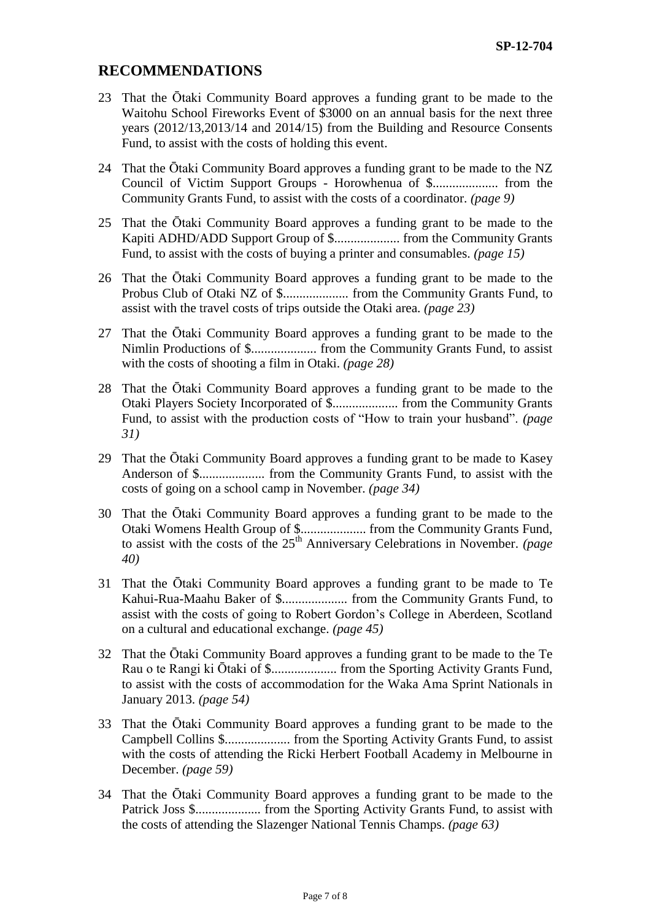# **RECOMMENDATIONS**

- 23 That the Ōtaki Community Board approves a funding grant to be made to the Waitohu School Fireworks Event of \$3000 on an annual basis for the next three years (2012/13,2013/14 and 2014/15) from the Building and Resource Consents Fund, to assist with the costs of holding this event.
- 24 That the Ōtaki Community Board approves a funding grant to be made to the NZ Council of Victim Support Groups - Horowhenua of \$.................... from the Community Grants Fund, to assist with the costs of a coordinator. *(page 9)*
- 25 That the Ōtaki Community Board approves a funding grant to be made to the Kapiti ADHD/ADD Support Group of \$.................... from the Community Grants Fund, to assist with the costs of buying a printer and consumables. *(page 15)*
- 26 That the Ōtaki Community Board approves a funding grant to be made to the Probus Club of Otaki NZ of \$.................... from the Community Grants Fund, to assist with the travel costs of trips outside the Otaki area. *(page 23)*
- 27 That the Ōtaki Community Board approves a funding grant to be made to the Nimlin Productions of \$.................... from the Community Grants Fund, to assist with the costs of shooting a film in Otaki. *(page 28)*
- 28 That the Ōtaki Community Board approves a funding grant to be made to the Otaki Players Society Incorporated of \$.................... from the Community Grants Fund, to assist with the production costs of "How to train your husband". *(page 31)*
- 29 That the Ōtaki Community Board approves a funding grant to be made to Kasey Anderson of \$.................... from the Community Grants Fund, to assist with the costs of going on a school camp in November. *(page 34)*
- 30 That the Ōtaki Community Board approves a funding grant to be made to the Otaki Womens Health Group of \$.................... from the Community Grants Fund, to assist with the costs of the 25<sup>th</sup> Anniversary Celebrations in November. *(page*) *40)*
- 31 That the Ōtaki Community Board approves a funding grant to be made to Te Kahui-Rua-Maahu Baker of \$.................... from the Community Grants Fund, to assist with the costs of going to Robert Gordon's College in Aberdeen, Scotland on a cultural and educational exchange. *(page 45)*
- 32 That the Ōtaki Community Board approves a funding grant to be made to the Te Rau o te Rangi ki Ōtaki of \$.................... from the Sporting Activity Grants Fund, to assist with the costs of accommodation for the Waka Ama Sprint Nationals in January 2013. *(page 54)*
- 33 That the Ōtaki Community Board approves a funding grant to be made to the Campbell Collins \$.................... from the Sporting Activity Grants Fund, to assist with the costs of attending the Ricki Herbert Football Academy in Melbourne in December. *(page 59)*
- 34 That the Ōtaki Community Board approves a funding grant to be made to the Patrick Joss \$.................... from the Sporting Activity Grants Fund, to assist with the costs of attending the Slazenger National Tennis Champs. *(page 63)*